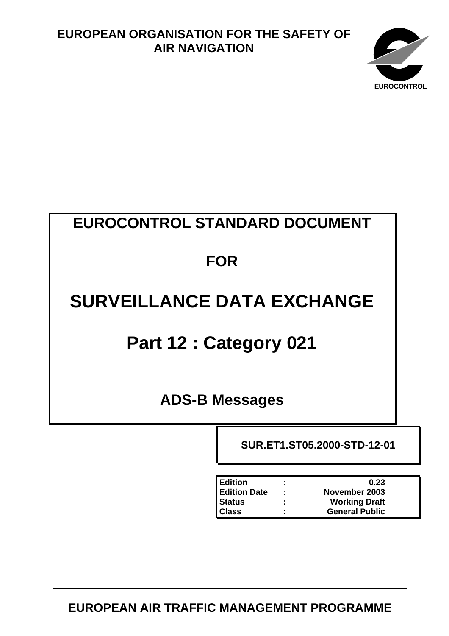

# **EUROCONTROL STANDARD DOCUMENT**

# **FOR**

# **SURVEILLANCE DATA EXCHANGE**

# **Part 12 : Category 021**

<span id="page-0-0"></span>**ADS-B Messages**

<span id="page-0-3"></span><span id="page-0-2"></span><span id="page-0-1"></span>**SUR.ET1.ST05.2000-STD-12-01** 

| <b>Edition</b>      | ٠<br>$\blacksquare$ | 0.23                  |
|---------------------|---------------------|-----------------------|
| <b>Edition Date</b> | ÷                   | November 2003         |
| <b>Status</b>       | ٠<br>٠              | <b>Working Draft</b>  |
| <b>Class</b>        | ٠<br>٠              | <b>General Public</b> |

**EUROPEAN AIR TRAFFIC MANAGEMENT PROGRAMME**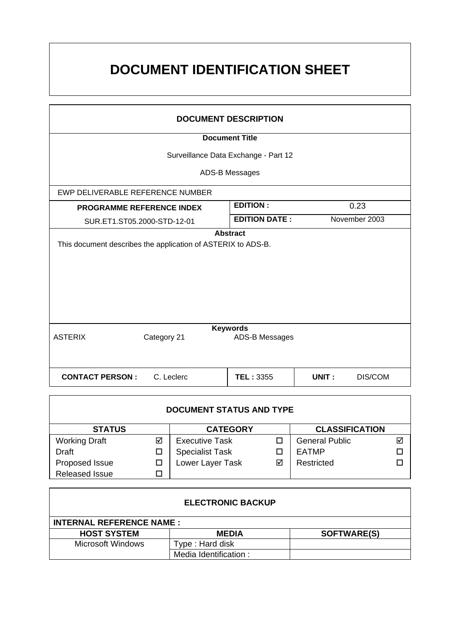# **DOCUMENT IDENTIFICATION SHEET**

| <b>DOCUMENT DESCRIPTION</b>                                                     |             |                                   |                  |  |  |  |  |  |  |  |  |
|---------------------------------------------------------------------------------|-------------|-----------------------------------|------------------|--|--|--|--|--|--|--|--|
| <b>Document Title</b>                                                           |             |                                   |                  |  |  |  |  |  |  |  |  |
| Surveillance Data Exchange - Part 12                                            |             |                                   |                  |  |  |  |  |  |  |  |  |
|                                                                                 |             | ADS-B Messages                    |                  |  |  |  |  |  |  |  |  |
| EWP DELIVERABLE REFERENCE NUMBER                                                |             |                                   |                  |  |  |  |  |  |  |  |  |
| <b>PROGRAMME REFERENCE INDEX</b>                                                |             | <b>EDITION:</b>                   | 0.23             |  |  |  |  |  |  |  |  |
| SUR.ET1.ST05.2000-STD-12-01                                                     |             | <b>EDITION DATE:</b>              | November 2003    |  |  |  |  |  |  |  |  |
| <b>Abstract</b><br>This document describes the application of ASTERIX to ADS-B. |             |                                   |                  |  |  |  |  |  |  |  |  |
| <b>ASTERIX</b>                                                                  | Category 21 | <b>Keywords</b><br>ADS-B Messages |                  |  |  |  |  |  |  |  |  |
|                                                                                 |             |                                   |                  |  |  |  |  |  |  |  |  |
| <b>CONTACT PERSON:</b>                                                          | C. Leclerc  | <b>TEL: 3355</b>                  | UNIT:<br>DIS/COM |  |  |  |  |  |  |  |  |

| <b>DOCUMENT STATUS AND TYPE</b> |   |                        |   |                       |   |  |  |  |  |
|---------------------------------|---|------------------------|---|-----------------------|---|--|--|--|--|
| <b>STATUS</b>                   |   | <b>CATEGORY</b>        |   | <b>CLASSIFICATION</b> |   |  |  |  |  |
| <b>Working Draft</b>            | ☑ | <b>Executive Task</b>  |   | <b>General Public</b> | ⊽ |  |  |  |  |
| Draft                           |   | <b>Specialist Task</b> |   | <b>EATMP</b>          |   |  |  |  |  |
| Proposed Issue                  |   | Lower Layer Task       | ☑ | Restricted            |   |  |  |  |  |
| <b>Released Issue</b>           |   |                        |   |                       |   |  |  |  |  |

| <b>ELECTRONIC BACKUP</b>        |                       |                    |  |  |  |  |  |  |  |
|---------------------------------|-----------------------|--------------------|--|--|--|--|--|--|--|
| <b>INTERNAL REFERENCE NAME:</b> |                       |                    |  |  |  |  |  |  |  |
| <b>HOST SYSTEM</b>              | <b>MEDIA</b>          | <b>SOFTWARE(S)</b> |  |  |  |  |  |  |  |
| <b>Microsoft Windows</b>        | Type : Hard disk      |                    |  |  |  |  |  |  |  |
|                                 | Media Identification: |                    |  |  |  |  |  |  |  |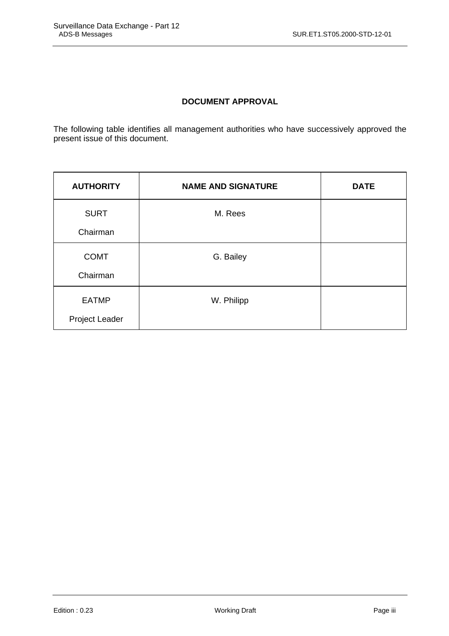# **DOCUMENT APPROVAL**

The following table identifies all management authorities who have successively approved the present issue of this document.

| <b>AUTHORITY</b> | <b>NAME AND SIGNATURE</b> | <b>DATE</b> |
|------------------|---------------------------|-------------|
| <b>SURT</b>      | M. Rees                   |             |
| Chairman         |                           |             |
| <b>COMT</b>      | G. Bailey                 |             |
| Chairman         |                           |             |
| <b>EATMP</b>     | W. Philipp                |             |
| Project Leader   |                           |             |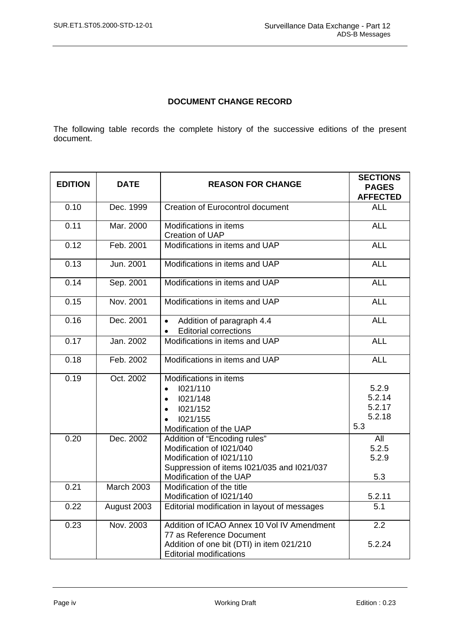# **DOCUMENT CHANGE RECORD**

The following table records the complete history of the successive editions of the present document.

| <b>EDITION</b> | <b>DATE</b><br><b>REASON FOR CHANGE</b> |                                                                                                                                                               |                                            |  |  |
|----------------|-----------------------------------------|---------------------------------------------------------------------------------------------------------------------------------------------------------------|--------------------------------------------|--|--|
|                |                                         |                                                                                                                                                               | <b>PAGES</b><br><b>AFFECTED</b>            |  |  |
| 0.10           | Dec. 1999                               | <b>Creation of Eurocontrol document</b>                                                                                                                       | <b>ALL</b>                                 |  |  |
| 0.11           | Mar. 2000                               | Modifications in items<br>Creation of UAP                                                                                                                     | <b>ALL</b>                                 |  |  |
| 0.12           | Feb. 2001                               | Modifications in items and UAP                                                                                                                                | <b>ALL</b>                                 |  |  |
| 0.13           | Jun. 2001                               | Modifications in items and UAP                                                                                                                                | <b>ALL</b>                                 |  |  |
| 0.14           | Sep. 2001                               | Modifications in items and UAP                                                                                                                                | <b>ALL</b>                                 |  |  |
| 0.15           | Nov. 2001                               | Modifications in items and UAP                                                                                                                                | <b>ALL</b>                                 |  |  |
| 0.16           | Dec. 2001                               | Addition of paragraph 4.4<br>$\bullet$<br><b>Editorial corrections</b>                                                                                        | <b>ALL</b>                                 |  |  |
| 0.17           | Jan. 2002                               | Modifications in items and UAP                                                                                                                                | <b>ALL</b>                                 |  |  |
| 0.18           | Feb. 2002                               | Modifications in items and UAP                                                                                                                                | <b>ALL</b>                                 |  |  |
| 0.19           | Oct. 2002                               | Modifications in items<br>1021/110<br>$\bullet$<br>1021/148<br>$\bullet$<br>1021/152<br>$\bullet$<br>1021/155<br>Modification of the UAP                      | 5.2.9<br>5.2.14<br>5.2.17<br>5.2.18<br>5.3 |  |  |
| 0.20           | Dec. 2002                               | Addition of "Encoding rules"<br>Modification of I021/040<br>Modification of I021/110<br>Suppression of items I021/035 and I021/037<br>Modification of the UAP | All<br>5.2.5<br>5.2.9<br>5.3               |  |  |
| 0.21           | <b>March 2003</b>                       | Modification of the title<br>Modification of I021/140                                                                                                         | 5.2.11                                     |  |  |
| 0.22           | August 2003                             | Editorial modification in layout of messages                                                                                                                  | 5.1                                        |  |  |
| 0.23           | Nov. 2003                               | Addition of ICAO Annex 10 Vol IV Amendment<br>77 as Reference Document<br>Addition of one bit (DTI) in item 021/210<br><b>Editorial modifications</b>         | 2.2<br>5.2.24                              |  |  |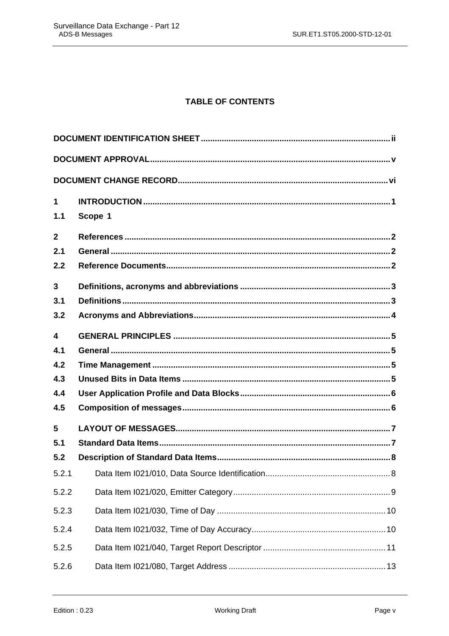# **TABLE OF CONTENTS**

| $\mathbf 1$             |         |
|-------------------------|---------|
| 1.1                     | Scope 1 |
| $\overline{2}$          |         |
| 2.1                     |         |
| 2.2                     |         |
| 3                       |         |
| 3.1                     |         |
| 3.2                     |         |
| $\overline{\mathbf{4}}$ |         |
| 4.1                     |         |
| 4.2                     |         |
| 4.3                     |         |
| 4.4                     |         |
| 4.5                     |         |
| 5                       |         |
| 5.1                     |         |
| 5.2                     |         |
| 5.2.1                   |         |
| 5.2.2                   |         |
| 5.2.3                   |         |
| 5.2.4                   |         |
| 5.2.5                   |         |
| 5.2.6                   |         |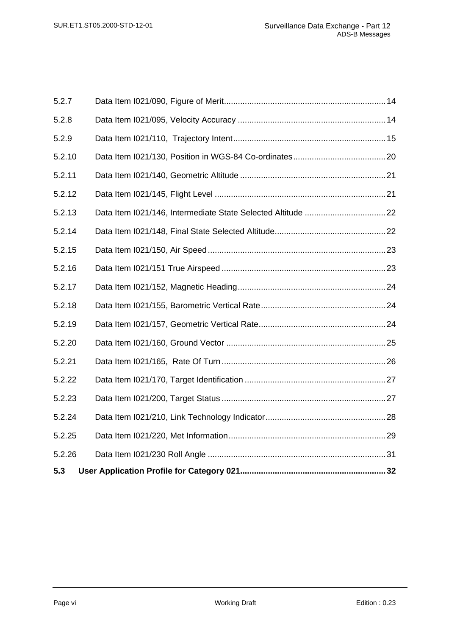| 5.3    |  |
|--------|--|
| 5.2.26 |  |
| 5.2.25 |  |
| 5.2.24 |  |
| 5.2.23 |  |
| 5.2.22 |  |
| 5.2.21 |  |
| 5.2.20 |  |
| 5.2.19 |  |
| 5.2.18 |  |
| 5.2.17 |  |
| 5.2.16 |  |
| 5.2.15 |  |
| 5.2.14 |  |
| 5.2.13 |  |
| 5.2.12 |  |
| 5.2.11 |  |
| 5.2.10 |  |
| 5.2.9  |  |
| 5.2.8  |  |
| 5.2.7  |  |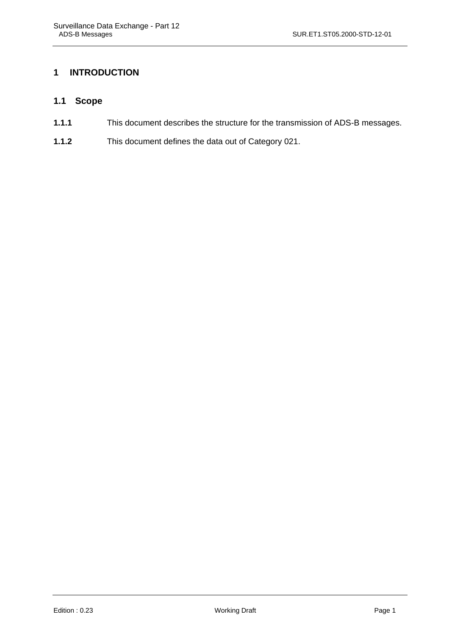# <span id="page-6-0"></span>**1 INTRODUCTION**

## **1.1 Scope**

- **1.1.1** This document describes the structure for the transmission of ADS-B messages.
- **1.1.2** This document defines the data out of Category 021.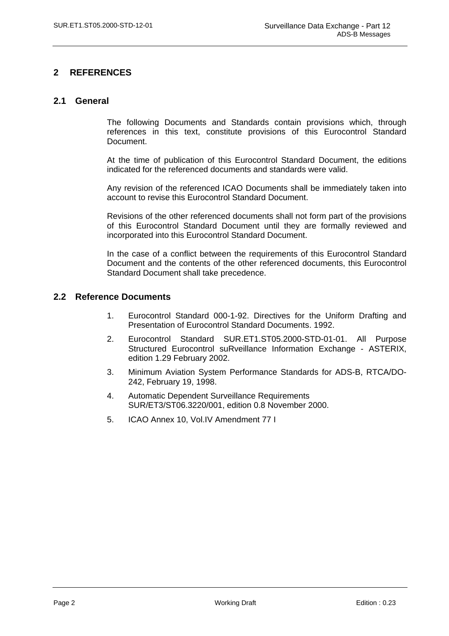## <span id="page-7-0"></span>**2 REFERENCES**

#### **2.1 General**

The following Documents and Standards contain provisions which, through references in this text, constitute provisions of this Eurocontrol Standard Document.

At the time of publication of this Eurocontrol Standard Document, the editions indicated for the referenced documents and standards were valid.

Any revision of the referenced ICAO Documents shall be immediately taken into account to revise this Eurocontrol Standard Document.

Revisions of the other referenced documents shall not form part of the provisions of this Eurocontrol Standard Document until they are formally reviewed and incorporated into this Eurocontrol Standard Document.

In the case of a conflict between the requirements of this Eurocontrol Standard Document and the contents of the other referenced documents, this Eurocontrol Standard Document shall take precedence.

#### **2.2 Reference Documents**

- 1. Eurocontrol Standard 000-1-92. Directives for the Uniform Drafting and Presentation of Eurocontrol Standard Documents. 1992.
- 2. Eurocontrol Standard SUR.ET1.ST05.2000-STD-01-01. All Purpose Structured Eurocontrol suRveillance Information Exchange - ASTERIX, edition 1.29 February 2002.
- 3. Minimum Aviation System Performance Standards for ADS-B, RTCA/DO-242, February 19, 1998.
- 4. Automatic Dependent Surveillance Requirements SUR/ET3/ST06.3220/001, edition 0.8 November 2000.
- 5. ICAO Annex 10, Vol.IV Amendment 77 I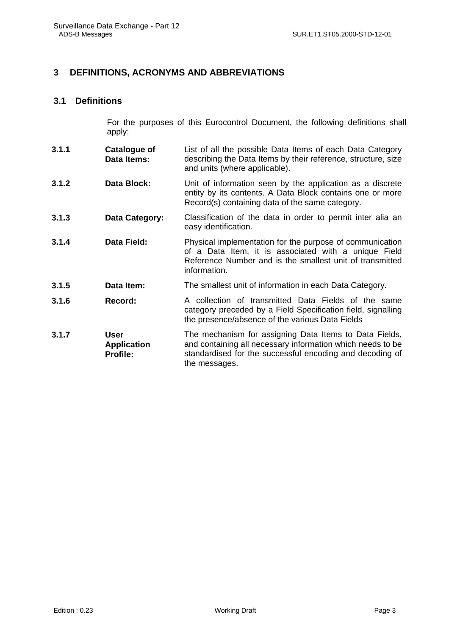### <span id="page-8-0"></span>**3 DEFINITIONS, ACRONYMS AND ABBREVIATIONS**

#### **3.1 Definitions**

For the purposes of this Eurocontrol Document, the following definitions shall apply:

- **3.1.1 Catalogue of Data Items:** List of all the possible Data Items of each Data Category describing the Data Items by their reference, structure, size and units (where applicable).
- **3.1.2 Data Block:** Unit of information seen by the application as a discrete entity by its contents. A Data Block contains one or more Record(s) containing data of the same category.
- **3.1.3 Data Category:** Classification of the data in order to permit inter alia an easy identification.
- **3.1.4 Data Field:** Physical implementation for the purpose of communication of a Data Item, it is associated with a unique Field Reference Number and is the smallest unit of transmitted information.
- **3.1.5 Data Item:** The smallest unit of information in each Data Category.
- **3.1.6 Record:** A collection of transmitted Data Fields of the same category preceded by a Field Specification field, signalling the presence/absence of the various Data Fields
- **3.1.7 User Application Profile:** The mechanism for assigning Data Items to Data Fields, and containing all necessary information which needs to be standardised for the successful encoding and decoding of the messages.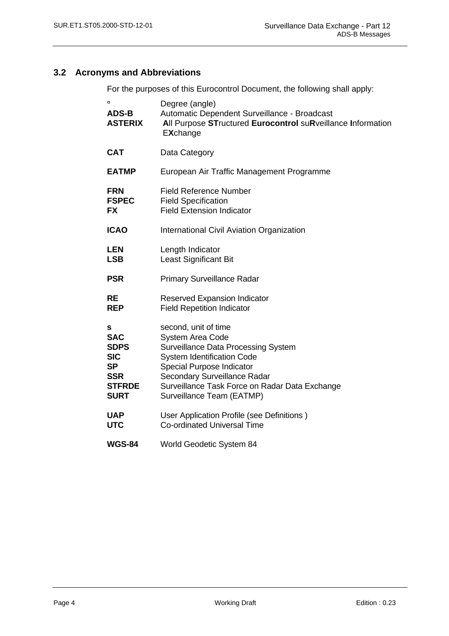# <span id="page-9-0"></span>**3.2 Acronyms and Abbreviations**

For the purposes of this Eurocontrol Document, the following shall apply:

| $\mathbf{o}$<br><b>ADS-B</b><br><b>ASTERIX</b>                                                          | Degree (angle)<br>Automatic Dependent Surveillance - Broadcast<br>All Purpose STructured Eurocontrol suRveillance Information<br><b>EXchange</b>                                                                                                                               |
|---------------------------------------------------------------------------------------------------------|--------------------------------------------------------------------------------------------------------------------------------------------------------------------------------------------------------------------------------------------------------------------------------|
| <b>CAT</b>                                                                                              | Data Category                                                                                                                                                                                                                                                                  |
| <b>EATMP</b>                                                                                            | European Air Traffic Management Programme                                                                                                                                                                                                                                      |
| <b>FRN</b><br><b>FSPEC</b><br><b>FX</b>                                                                 | <b>Field Reference Number</b><br><b>Field Specification</b><br><b>Field Extension Indicator</b>                                                                                                                                                                                |
| <b>ICAO</b>                                                                                             | International Civil Aviation Organization                                                                                                                                                                                                                                      |
| <b>LEN</b><br><b>LSB</b>                                                                                | Length Indicator<br><b>Least Significant Bit</b>                                                                                                                                                                                                                               |
| <b>PSR</b>                                                                                              | <b>Primary Surveillance Radar</b>                                                                                                                                                                                                                                              |
| <b>RE</b><br><b>REP</b>                                                                                 | Reserved Expansion Indicator<br><b>Field Repetition Indicator</b>                                                                                                                                                                                                              |
| s<br><b>SAC</b><br><b>SDPS</b><br><b>SIC</b><br><b>SP</b><br><b>SSR</b><br><b>STFRDE</b><br><b>SURT</b> | second, unit of time<br><b>System Area Code</b><br><b>Surveillance Data Processing System</b><br><b>System Identification Code</b><br>Special Purpose Indicator<br>Secondary Surveillance Radar<br>Surveillance Task Force on Radar Data Exchange<br>Surveillance Team (EATMP) |
| <b>UAP</b><br><b>UTC</b>                                                                                | User Application Profile (see Definitions)<br><b>Co-ordinated Universal Time</b>                                                                                                                                                                                               |
| <b>WGS-84</b>                                                                                           | World Geodetic System 84                                                                                                                                                                                                                                                       |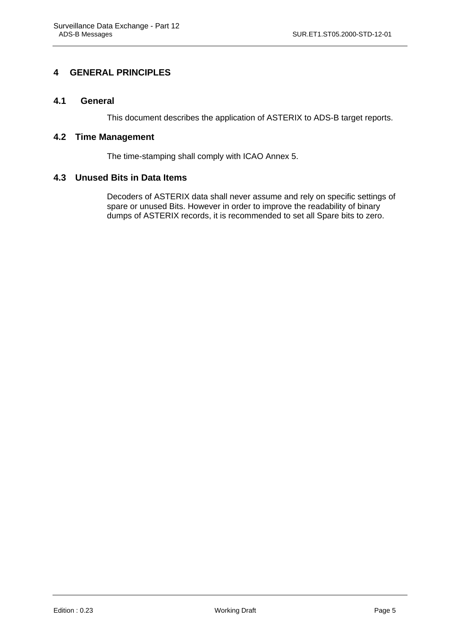# <span id="page-10-0"></span>**4 GENERAL PRINCIPLES**

#### **4.1 General**

This document describes the application of ASTERIX to ADS-B target reports.

#### **4.2 Time Management**

The time-stamping shall comply with ICAO Annex 5.

#### **4.3 Unused Bits in Data Items**

Decoders of ASTERIX data shall never assume and rely on specific settings of spare or unused Bits. However in order to improve the readability of binary dumps of ASTERIX records, it is recommended to set all Spare bits to zero.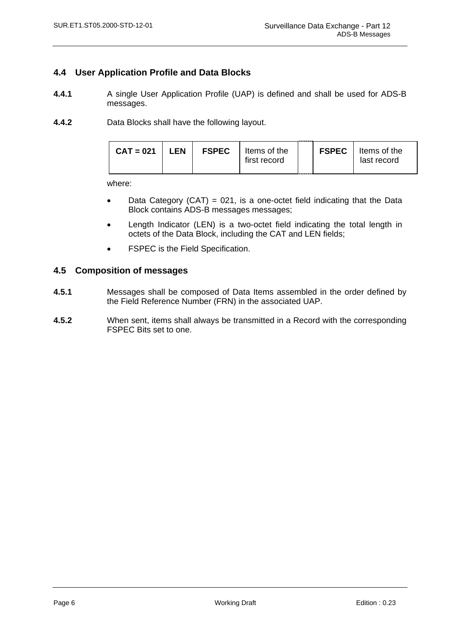### <span id="page-11-0"></span>**4.4 User Application Profile and Data Blocks**

- **4.4.1** A single User Application Profile (UAP) is defined and shall be used for ADS-B messages.
- **4.4.2** Data Blocks shall have the following layout.

| <b>FSPEC</b><br><b>LEN</b><br>$CAT = 021$<br>Items of the<br>first record | <b>FSPEC</b>   Items of the<br>last record |
|---------------------------------------------------------------------------|--------------------------------------------|
|---------------------------------------------------------------------------|--------------------------------------------|

where:

- Data Category (CAT) = 021, is a one-octet field indicating that the Data Block contains ADS-B messages messages;
- Length Indicator (LEN) is a two-octet field indicating the total length in octets of the Data Block, including the CAT and LEN fields;
- FSPEC is the Field Specification.

#### **4.5 Composition of messages**

- **4.5.1** Messages shall be composed of Data Items assembled in the order defined by the Field Reference Number (FRN) in the associated UAP.
- **4.5.2** When sent, items shall always be transmitted in a Record with the corresponding FSPEC Bits set to one.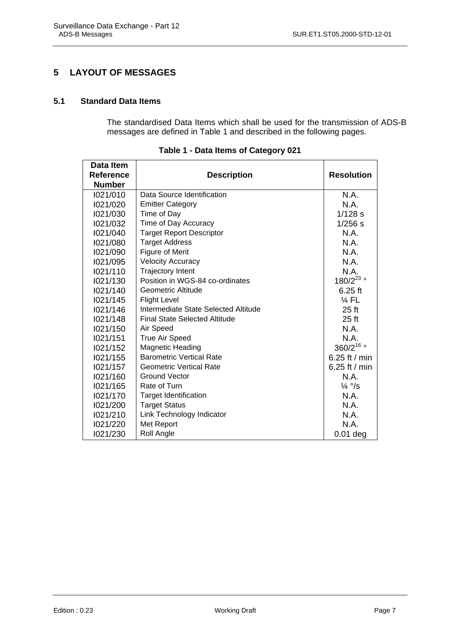# <span id="page-12-0"></span>**5 LAYOUT OF MESSAGES**

#### **5.1 Standard Data Items**

The standardised Data Items which shall be used for the transmission of ADS-B messages are defined in Table 1 and described in the following pages.

| Data Item        |                                      |                   |
|------------------|--------------------------------------|-------------------|
| <b>Reference</b> | <b>Description</b>                   | <b>Resolution</b> |
| <b>Number</b>    |                                      |                   |
| 1021/010         | Data Source Identification           | N.A.              |
| 1021/020         | <b>Emitter Category</b>              | N.A.              |
| 1021/030         | Time of Day                          | $1/128$ s         |
| 1021/032         | Time of Day Accuracy                 | $1/256$ s         |
| 1021/040         | <b>Target Report Descriptor</b>      | N.A.              |
| 1021/080         | <b>Target Address</b>                | N.A.              |
| 1021/090         | Figure of Merit                      | N.A.              |
| 1021/095         | <b>Velocity Accuracy</b>             | N.A.              |
| 1021/110         | <b>Trajectory Intent</b>             | N.A.              |
| 1021/130         | Position in WGS-84 co-ordinates      | $180/2^{23}$      |
| 1021/140         | Geometric Altitude                   | $6.25$ ft         |
| 1021/145         | <b>Flight Level</b>                  | $\frac{1}{4}$ FL  |
| 1021/146         | Intermediate State Selected Altitude | $25$ ft           |
| 1021/148         | <b>Final State Selected Altitude</b> | $25$ ft           |
| 1021/150         | Air Speed                            | N.A.              |
| 1021/151         | <b>True Air Speed</b>                | N.A.              |
| 1021/152         | <b>Magnetic Heading</b>              | 360/216 °         |
| 1021/155         | <b>Barometric Vertical Rate</b>      | 6.25 ft / min     |
| 1021/157         | <b>Geometric Vertical Rate</b>       | 6.25 ft / $min$   |
| 1021/160         | <b>Ground Vector</b>                 | N.A.              |
| 1021/165         | Rate of Turn                         | $\frac{1}{4}$ °/s |
| 1021/170         | <b>Target Identification</b>         | N.A.              |
| 1021/200         | <b>Target Status</b>                 | N.A.              |
| 1021/210         | Link Technology Indicator            | N.A.              |
| 1021/220         | Met Report                           | N.A.              |
| 1021/230         | Roll Angle                           | $0.01$ deg        |

**Table 1 - Data Items of Category 021**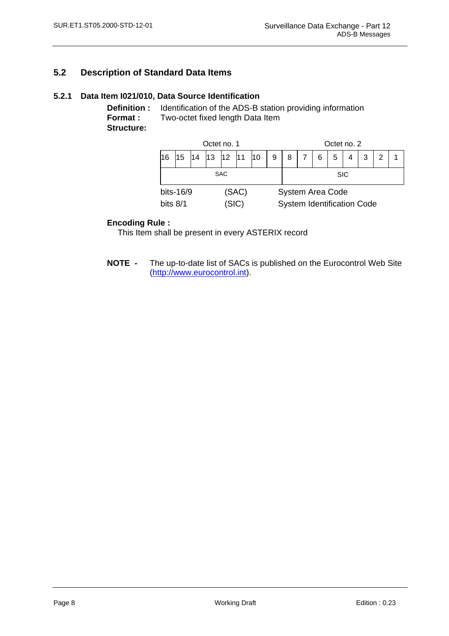# <span id="page-13-0"></span>**5.2 Description of Standard Data Items**

#### **5.2.1 Data Item I021/010, Data Source Identification**

**Definition :** Identification of the ADS-B station providing information **Format :** Two-octet fixed length Data Item **Structure:** 

| Octet no. 1                               |                                                    |  |  |  |  |                                                              | Octet no. 2 |  |  |  |  |  |  |
|-------------------------------------------|----------------------------------------------------|--|--|--|--|--------------------------------------------------------------|-------------|--|--|--|--|--|--|
| 16                                        | 12 <sub>2</sub><br>13<br>111<br>15<br>14<br>5<br>8 |  |  |  |  |                                                              |             |  |  |  |  |  |  |
| <b>SAC</b>                                |                                                    |  |  |  |  |                                                              | <b>SIC</b>  |  |  |  |  |  |  |
| bits-16/9<br>(SAC)<br>(SIC)<br>bits $8/1$ |                                                    |  |  |  |  | <b>System Area Code</b><br><b>System Identification Code</b> |             |  |  |  |  |  |  |

#### **Encoding Rule :**

This Item shall be present in every ASTERIX record

**NOTE -** The up-to-date list of SACs is published on the Eurocontrol Web Site [\(http://www.eurocontrol.int](http://www.eurocontrol.int/)).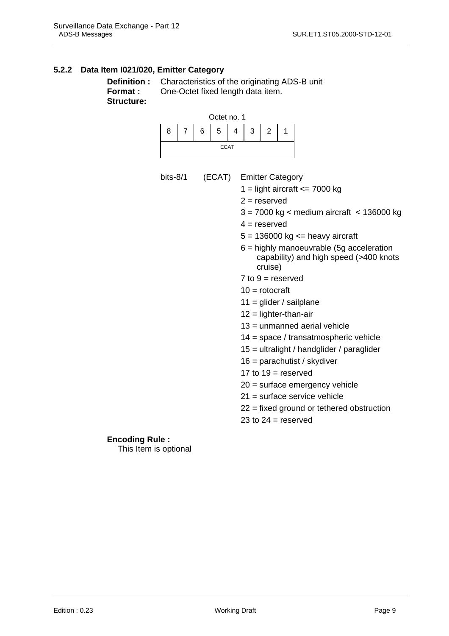### <span id="page-14-0"></span>**5.2.2 Data Item I021/020, Emitter Category**

bits- $8/1$ 

```
Structure:
```
**Definition :** Characteristics of the originating ADS-B unit **Format :** One-Octet fixed length data item.



| (ECAT) Emitter Category<br>1 = light aircraft $\leq$ 7000 kg                                    |  |
|-------------------------------------------------------------------------------------------------|--|
| $2 =$ reserved                                                                                  |  |
| $3 = 7000$ kg < medium aircraft < 136000 kg                                                     |  |
| $4 =$ reserved                                                                                  |  |
| $5 = 136000$ kg $\le$ heavy aircraft                                                            |  |
| $6$ = highly manoeuvrable (5g acceleration<br>capability) and high speed (>400 knots<br>cruise) |  |
| 7 to $9 =$ reserved                                                                             |  |
| 10 = rotocraft                                                                                  |  |
| 11 = glider / sailplane                                                                         |  |
| $12 =$ lighter-than-air                                                                         |  |
| 13 = unmanned aerial vehicle                                                                    |  |
| 14 = space / transatmospheric vehicle                                                           |  |
| 15 = ultralight / handglider / paraglider                                                       |  |
| 16 = parachutist / skydiver                                                                     |  |
| 17 to $19$ = reserved                                                                           |  |
| 20 = surface emergency vehicle                                                                  |  |
| 21 = surface service vehicle                                                                    |  |
| 22 = fixed ground or tethered obstruction                                                       |  |
| 23 to $24$ = reserved                                                                           |  |

#### **Encoding Rule :**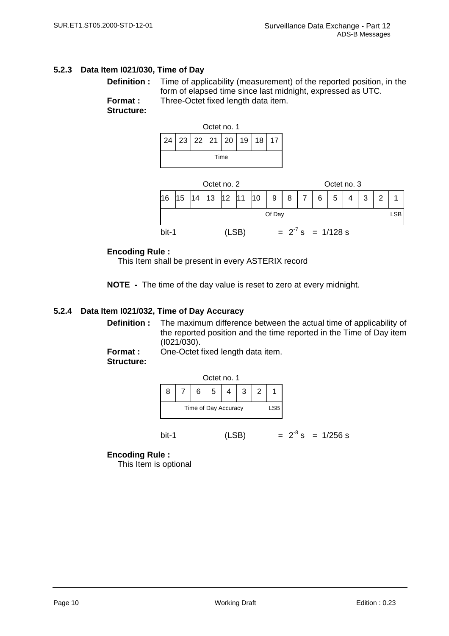#### <span id="page-15-0"></span>**5.2.3 Data Item I021/030, Time of Day**

**Structure:** 







#### **Encoding Rule :**

This Item shall be present in every ASTERIX record

**NOTE -** The time of the day value is reset to zero at every midnight.

#### **5.2.4 Data Item I021/032, Time of Day Accuracy**

**Definition :** The maximum difference between the actual time of applicability of the reported position and the time reported in the Time of Day item (I021/030).

**Format :** One-Octet fixed length data item.

**Structure:** 



bit-1 (LSB)  $= 2^8$  s = 1/256 s

#### **Encoding Rule :**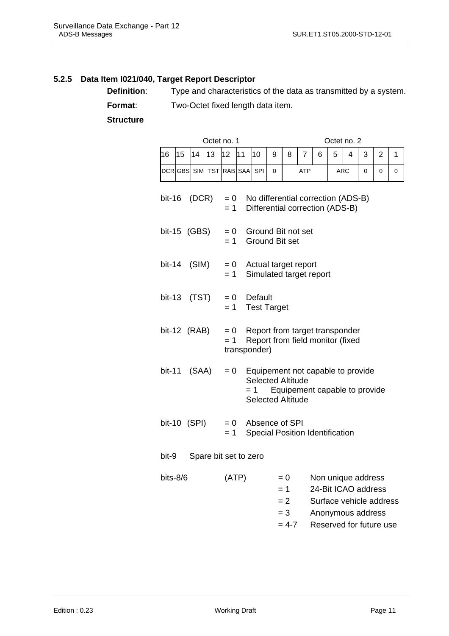### <span id="page-16-0"></span>**5.2.5 Data Item I021/040, Target Report Descriptor**

**Definition:** Type and characteristics of the data as transmitted by a system.

**Format:** Two-Octet fixed length data item.

 **Structure** 

|              |    |       |    | Octet no. 1             |              |         |                                                      |                                               |            |   | Octet no. 2                                                                                                          |            |   |                |             |
|--------------|----|-------|----|-------------------------|--------------|---------|------------------------------------------------------|-----------------------------------------------|------------|---|----------------------------------------------------------------------------------------------------------------------|------------|---|----------------|-------------|
| 16           | 15 | 14    | 13 | 12                      | 11           | 10      | 9                                                    | 8                                             | 7          | 6 | 5                                                                                                                    | 4          | 3 | $\overline{2}$ | 1           |
|              |    |       |    | DCR GBS SIM TST RAB SAA |              | SPI     | 0                                                    |                                               | <b>ATP</b> |   |                                                                                                                      | <b>ARC</b> | 0 | 0              | $\mathbf 0$ |
| bit-16       |    | (DCR) |    | $= 0$<br>$= 1$          |              |         |                                                      |                                               |            |   | No differential correction (ADS-B)<br>Differential correction (ADS-B)                                                |            |   |                |             |
| bit-15 (GBS) |    |       |    | $= 0$<br>$= 1$          |              |         | Ground Bit not set<br><b>Ground Bit set</b>          |                                               |            |   |                                                                                                                      |            |   |                |             |
| bit-14       |    | (SIM) |    | $= 0$<br>$= 1$          |              |         | Actual target report<br>Simulated target report      |                                               |            |   |                                                                                                                      |            |   |                |             |
| bit-13       |    | (TST) |    | $= 0$<br>$= 1$          |              | Default | <b>Test Target</b>                                   |                                               |            |   |                                                                                                                      |            |   |                |             |
| bit-12 (RAB) |    |       |    | $= 0$<br>$= 1$          | transponder) |         |                                                      |                                               |            |   | Report from target transponder<br>Report from field monitor (fixed                                                   |            |   |                |             |
| bit-11       |    | (SAA) |    | $= 0$                   |              | = 1     | <b>Selected Altitude</b><br><b>Selected Altitude</b> |                                               |            |   | Equipement not capable to provide<br>Equipement capable to provide                                                   |            |   |                |             |
| bit-10 (SPI) |    |       |    | $= 0$<br>$= 1$          |              |         | Absence of SPI                                       |                                               |            |   | <b>Special Position Identification</b>                                                                               |            |   |                |             |
| bit-9        |    |       |    | Spare bit set to zero   |              |         |                                                      |                                               |            |   |                                                                                                                      |            |   |                |             |
| bits-8/6     |    |       |    | (ATP)                   |              |         |                                                      | $= 0$<br>$= 1$<br>$= 2$<br>$= 3$<br>$= 4 - 7$ |            |   | Non unique address<br>24-Bit ICAO address<br>Surface vehicle address<br>Anonymous address<br>Reserved for future use |            |   |                |             |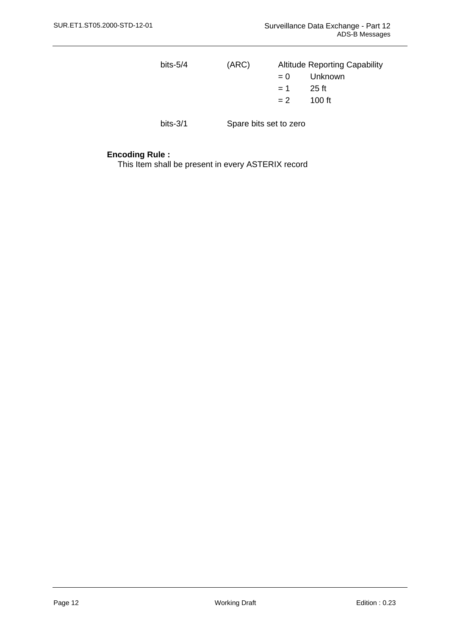| bits- $5/4$ | (ARC) |       | <b>Altitude Reporting Capability</b> |
|-------------|-------|-------|--------------------------------------|
|             |       | $= 0$ | Unknown                              |
|             |       | $= 1$ | 25 ft                                |
|             |       | $= 2$ | 100 ft                               |
|             |       |       |                                      |

bits-3/1 Spare bits set to zero

#### **Encoding Rule :**

This Item shall be present in every ASTERIX record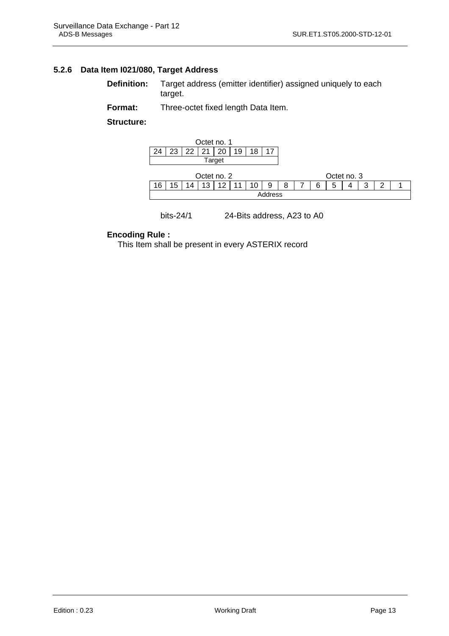#### <span id="page-18-0"></span>**5.2.6 Data Item I021/080, Target Address**

**Definition:** Target address (emitter identifier) assigned uniquely to each target.

**Format:** Three-octet fixed length Data Item.

**Structure:**



#### bits-24/1 24-Bits address, A23 to A0

#### **Encoding Rule :**

This Item shall be present in every ASTERIX record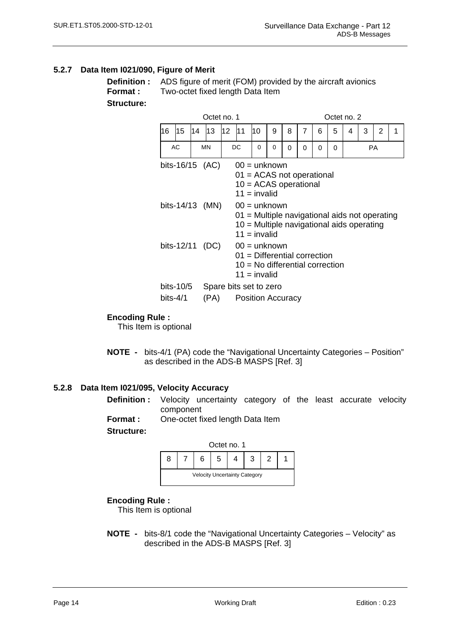#### <span id="page-19-0"></span>**5.2.7 Data Item I021/090, Figure of Merit**

**Structure:** 

**Definition :** ADS figure of merit (FOM) provided by the aircraft avionics **Format :** Two-octet fixed length Data Item

|            |           |    | Octet no. 1                        |    |                                                                                                                                                               |    |                                           |   |   |   | Octet no. 2 |   |   |           |   |
|------------|-----------|----|------------------------------------|----|---------------------------------------------------------------------------------------------------------------------------------------------------------------|----|-------------------------------------------|---|---|---|-------------|---|---|-----------|---|
| 16         | 15        | 14 | 13                                 | 12 | l11                                                                                                                                                           | 10 | 9                                         | 8 | 7 | 6 | 5           | 4 | 3 | 2         | 1 |
|            | AC        |    | <b>MN</b>                          |    | DC                                                                                                                                                            | 0  | 0                                         | 0 | 0 | 0 | 0           |   |   | <b>PA</b> |   |
|            |           |    | bits-16/15 (AC)<br>bits-14/13 (MN) |    | $00 =$ unknown<br>$01 = ACAS$ not operational<br>$10 = ACAS$ operational<br>$11 =$ invalid<br>$00 =$ unknown<br>01 = Multiple navigational aids not operating |    | 10 = Multiple navigational aids operating |   |   |   |             |   |   |           |   |
|            |           |    | bits-12/11 (DC)                    |    | $11 =$ invalid<br>$00 =$ unknown<br>$01$ = Differential correction<br>$11 =$ invalid                                                                          |    | 10 = No differential correction           |   |   |   |             |   |   |           |   |
|            | bits-10/5 |    | Spare bits set to zero             |    |                                                                                                                                                               |    |                                           |   |   |   |             |   |   |           |   |
| $bits-4/1$ |           |    | (PA)                               |    | <b>Position Accuracy</b>                                                                                                                                      |    |                                           |   |   |   |             |   |   |           |   |

#### **Encoding Rule :**

This Item is optional

**NOTE -** bits-4/1 (PA) code the "Navigational Uncertainty Categories – Position" as described in the ADS-B MASPS [Ref. 3]

#### **5.2.8 Data Item I021/095, Velocity Accuracy**

- **Definition :** Velocity uncertainty category of the least accurate velocity component
- **Format :** One-octet fixed length Data Item

#### **Structure:**



#### **Encoding Rule :**

This Item is optional

**NOTE -** bits-8/1 code the "Navigational Uncertainty Categories – Velocity" as described in the ADS-B MASPS [Ref. 3]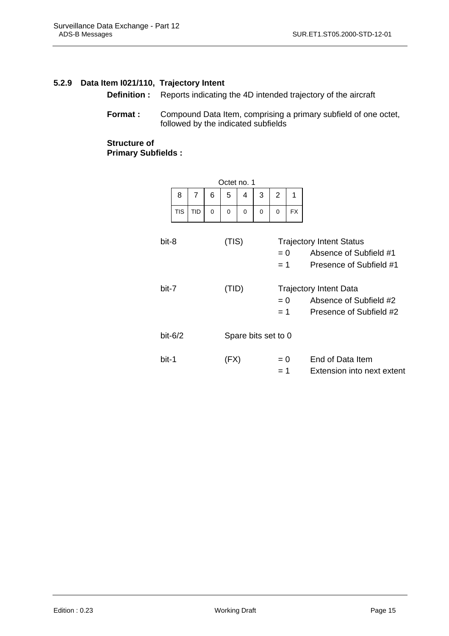#### <span id="page-20-0"></span>**5.2.9 Data Item I021/110, Trajectory Intent**

**Definition :** Reports indicating the 4D intended trajectory of the aircraft

Format : Compound Data Item, comprising a primary subfield of one octet, followed by the indicated subfields

**Structure of Primary Subfields :** 

|       |            |            |          | Octet no. 1 |   |          |                     |                |                                                                                      |
|-------|------------|------------|----------|-------------|---|----------|---------------------|----------------|--------------------------------------------------------------------------------------|
|       | 8          | 7          | 6        | 5           | 4 | 3        | 2                   | 1              |                                                                                      |
|       | <b>TIS</b> | <b>TID</b> | $\Omega$ | 0           | 0 | $\Omega$ | $\Omega$            | <b>FX</b>      |                                                                                      |
| bit-8 |            |            |          | (TIS)       |   |          |                     | $= 0$<br>$= 1$ | <b>Trajectory Intent Status</b><br>Absence of Subfield #1<br>Presence of Subfield #1 |
| bit-7 |            |            |          | (TID)       |   |          | $= 0$<br>$= 1$      |                | <b>Trajectory Intent Data</b><br>Absence of Subfield #2<br>Presence of Subfield #2   |
|       | $bit-6/2$  |            |          |             |   |          | Spare bits set to 0 |                |                                                                                      |
| bit-1 |            |            |          | (FX)        |   |          | $= 0$<br>$= 1$      |                | End of Data Item<br>Extension into next extent                                       |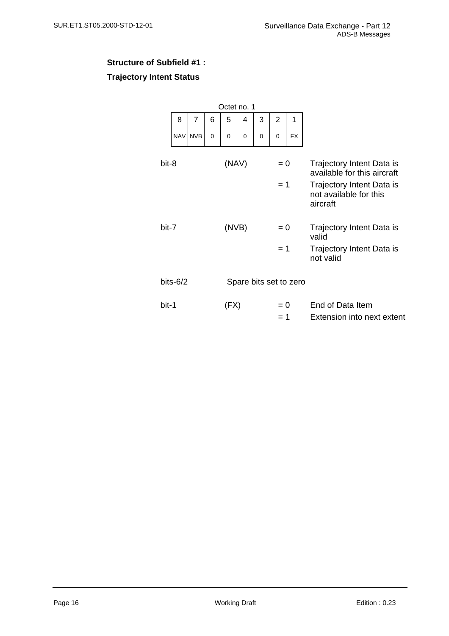# **Structure of Subfield #1 : Trajectory Intent Status**

|       |             |                |             | Octet no. 1            |   |   |                |           |                                                                                                                             |
|-------|-------------|----------------|-------------|------------------------|---|---|----------------|-----------|-----------------------------------------------------------------------------------------------------------------------------|
|       | 8           | $\overline{7}$ | 6           | 5                      | 4 | 3 | $\overline{2}$ | 1         |                                                                                                                             |
|       | <b>NAV</b>  | <b>NVB</b>     | $\mathbf 0$ | 0                      | 0 | 0 | 0              | <b>FX</b> |                                                                                                                             |
| bit-8 |             |                |             | (NAV)                  |   |   | $= 0$<br>$=1$  |           | Trajectory Intent Data is<br>available for this aircraft<br>Trajectory Intent Data is<br>not available for this<br>aircraft |
| bit-7 |             |                |             | (NVB)                  |   |   | $= 0$          |           | <b>Trajectory Intent Data is</b><br>valid                                                                                   |
|       |             |                |             |                        |   |   | $= 1$          |           | <b>Trajectory Intent Data is</b><br>not valid                                                                               |
|       | bits- $6/2$ |                |             | Spare bits set to zero |   |   |                |           |                                                                                                                             |
| bit-1 |             |                |             | (FX)                   |   |   | $= 0$<br>$= 1$ |           | End of Data Item<br>Extension into next extent                                                                              |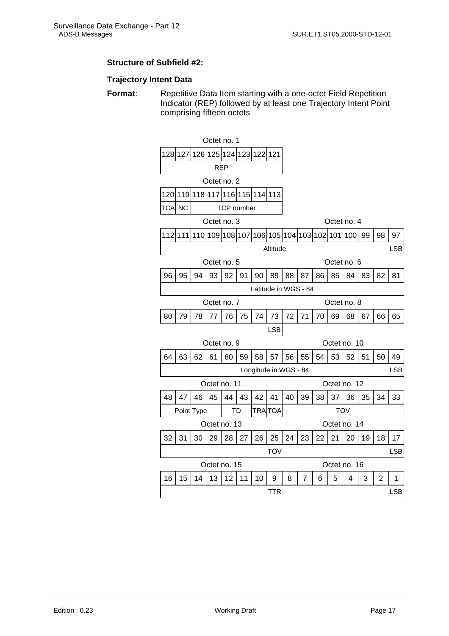#### **Structure of Subfield #2:**

#### **Trajectory Intent Data**

**Format:** Repetitive Data Item starting with a one-octet Field Repetition Indicator (REP) followed by at least one Trajectory Intent Point comprising fifteen octets

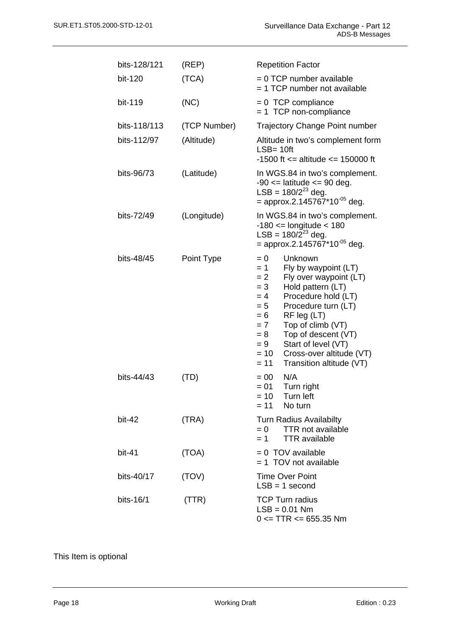| bits-128/121 | (REP)        | <b>Repetition Factor</b>                                                                                                                                                                                                                                                                                                                                                             |
|--------------|--------------|--------------------------------------------------------------------------------------------------------------------------------------------------------------------------------------------------------------------------------------------------------------------------------------------------------------------------------------------------------------------------------------|
| bit-120      | (TCA)        | $= 0$ TCP number available<br>= 1 TCP number not available                                                                                                                                                                                                                                                                                                                           |
| bit-119      | (NC)         | $= 0$ TCP compliance<br>$= 1$ TCP non-compliance                                                                                                                                                                                                                                                                                                                                     |
| bits-118/113 | (TCP Number) | <b>Trajectory Change Point number</b>                                                                                                                                                                                                                                                                                                                                                |
| bits-112/97  | (Altitude)   | Altitude in two's complement form<br>$LSB = 10ft$<br>-1500 ft $=$ altitude $=$ 150000 ft                                                                                                                                                                                                                                                                                             |
| bits-96/73   | (Latitude)   | In WGS.84 in two's complement.<br>$-90 \le$ latitude $\le$ 90 deg.<br>LSB = $180/2^{23}$ deg.<br>= approx.2.145767*10 <sup>-05</sup> deg.                                                                                                                                                                                                                                            |
| bits-72/49   | (Longitude)  | In WGS.84 in two's complement.<br>$-180 \le$ longitude $< 180$<br>LSB = $180/2^{23}$ deg.<br>= approx.2.145767*10 <sup>-05</sup> deg.                                                                                                                                                                                                                                                |
| bits-48/45   | Point Type   | $= 0$<br>Unknown<br>$= 1$<br>Fly by waypoint (LT)<br>$= 2$<br>Fly over waypoint (LT)<br>Hold pattern (LT)<br>$= 3$<br>Procedure hold (LT)<br>$= 4$<br>Procedure turn (LT)<br>$= 5$<br>RF leg (LT)<br>$= 6$<br>Top of climb (VT)<br>$= 7$<br>Top of descent (VT)<br>$= 8$<br>Start of level (VT)<br>$= 9$<br>Cross-over altitude (VT)<br>$= 10$<br>$= 11$<br>Transition altitude (VT) |
| bits-44/43   | (TD)         | N/A<br>$= 00$<br>$= 01$<br>Turn right<br>$= 10$ Turn left<br>No turn<br>$= 11$                                                                                                                                                                                                                                                                                                       |
| bit-42       | (TRA)        | <b>Turn Radius Availabilty</b><br><b>TTR not available</b><br>$= 0$<br><b>TTR</b> available<br>$= 1$                                                                                                                                                                                                                                                                                 |
| $bit-41$     | (TOA)        | $= 0$ TOV available<br>$= 1$ TOV not available                                                                                                                                                                                                                                                                                                                                       |
| bits-40/17   | (TOV)        | <b>Time Over Point</b><br>$LSB = 1$ second                                                                                                                                                                                                                                                                                                                                           |
| bits-16/1    | (TTR)        | <b>TCP Turn radius</b><br>$LSB = 0.01 Nm$<br>$0 \le TTR \le 655.35$ Nm                                                                                                                                                                                                                                                                                                               |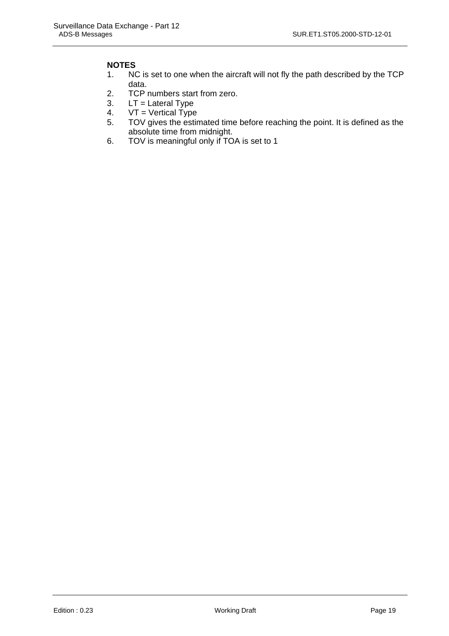### **NOTES**

- 1. NC is set to one when the aircraft will not fly the path described by the TCP data.
- 2. TCP numbers start from zero.
- 3.  $LT =$  Lateral Type
- 4.  $VT = Vertical Type$ <br>5.  $TOV$  gives the esting
- 5. TOV gives the estimated time before reaching the point. It is defined as the absolute time from midnight.
- 6. TOV is meaningful only if TOA is set to 1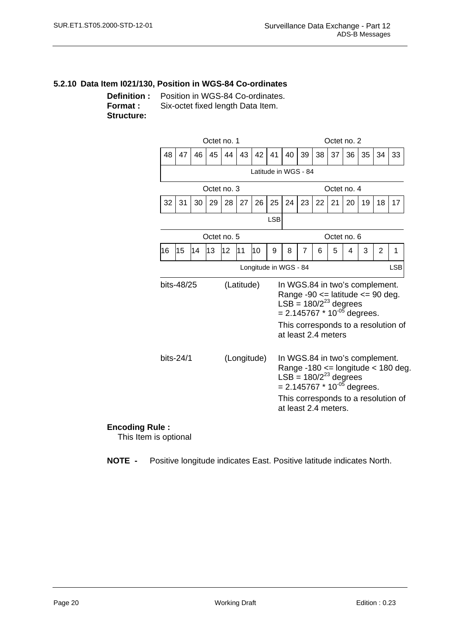#### <span id="page-25-0"></span>**5.2.10 Data Item I021/130, Position in WGS-84 Co-ordinates**

**Definition :** Position in WGS-84 Co-ordinates. **Format :** Six-octet fixed length Data Item. **Structure:** 



#### **Encoding Rule :**

This Item is optional

**NOTE -** Positive longitude indicates East. Positive latitude indicates North.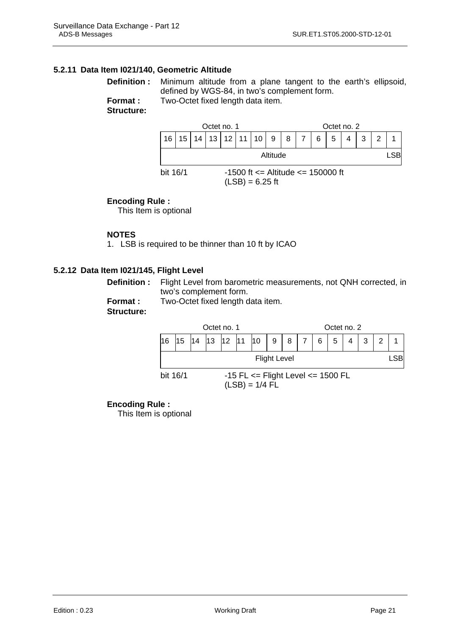#### <span id="page-26-0"></span>**5.2.11 Data Item I021/140, Geometric Altitude**

**Definition :** Minimum altitude from a plane tangent to the earth's ellipsoid, defined by WGS-84, in two's complement form. **Format :** Two-Octet fixed length data item.

**Structure:** 

|          |  |  | Octet no. 1 |  |                                                                  |  |     |   |  |   |   | Octet no. 2 |   |               |  |
|----------|--|--|-------------|--|------------------------------------------------------------------|--|-----|---|--|---|---|-------------|---|---------------|--|
| 16       |  |  |             |  | $15$   14   13   12   11   10                                    |  | - 9 | 8 |  | 6 | 5 |             | 3 | $\mathcal{P}$ |  |
| Altitude |  |  |             |  |                                                                  |  |     |   |  |   |   |             |   | <b>LSB</b>    |  |
| bit 16/1 |  |  |             |  | $-1500$ ft $\leq$ Altitude $\leq$ 150000 ft<br>$(LSB) = 6.25$ ft |  |     |   |  |   |   |             |   |               |  |

#### **Encoding Rule :**

This Item is optional

#### **NOTES**

1. LSB is required to be thinner than 10 ft by ICAO

#### **5.2.12 Data Item I021/145, Flight Level**

**Definition :** Flight Level from barometric measurements, not QNH corrected, in two's complement form.

**Format :** Two-Octet fixed length data item. **Structure:** 



#### **Encoding Rule :**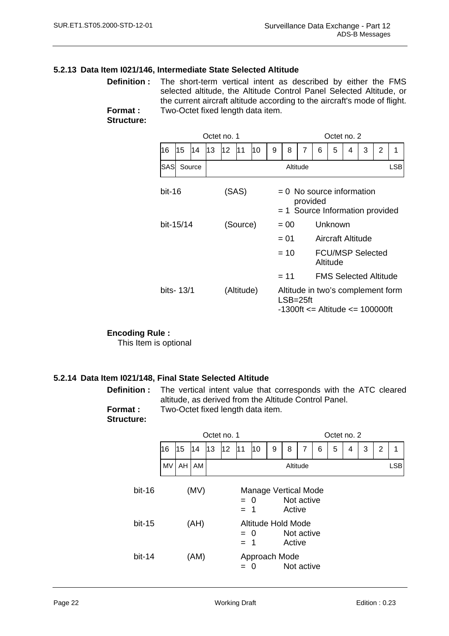#### <span id="page-27-0"></span>**5.2.13 Data Item I021/146, Intermediate State Selected Altitude**

**Definition :** The short-term vertical intent as described by either the FMS selected altitude, the Altitude Control Panel Selected Altitude, or the current aircraft altitude according to the aircraft's mode of flight. **Format :** Two-Octet fixed length data item.

**Structure:** 

|           |                          |        |    | Octet no. 1 |          |    | Octet no. 2                                                                  |                                                                                           |   |   |   |   |   |   |            |  |  |
|-----------|--------------------------|--------|----|-------------|----------|----|------------------------------------------------------------------------------|-------------------------------------------------------------------------------------------|---|---|---|---|---|---|------------|--|--|
| 16        | 15                       | 14     | 13 | 12          | 11       | 10 | 9                                                                            | 8                                                                                         | 7 | 6 | 5 | 4 | 3 | 2 | 1          |  |  |
| SASI      |                          | Source |    |             |          |    |                                                                              | Altitude                                                                                  |   |   |   |   |   |   | <b>LSB</b> |  |  |
| bit-16    |                          |        |    |             | (SAS)    |    | $= 0$ No source information<br>provided<br>$= 1$ Source Information provided |                                                                                           |   |   |   |   |   |   |            |  |  |
| bit-15/14 |                          |        |    |             | (Source) |    | Unknown<br>$= 00$                                                            |                                                                                           |   |   |   |   |   |   |            |  |  |
|           |                          |        |    |             |          |    |                                                                              | Aircraft Altitude<br>$= 01$                                                               |   |   |   |   |   |   |            |  |  |
|           |                          |        |    |             |          |    | $= 10$<br><b>FCU/MSP Selected</b><br>Altitude                                |                                                                                           |   |   |   |   |   |   |            |  |  |
|           |                          |        |    |             |          |    | <b>FMS Selected Altitude</b><br>$= 11$                                       |                                                                                           |   |   |   |   |   |   |            |  |  |
|           | bits- 13/1<br>(Altitude) |        |    |             |          |    |                                                                              | Altitude in two's complement form<br>$LSB = 25ft$<br>$-1300$ ft $=$ Altitude $=$ 100000ft |   |   |   |   |   |   |            |  |  |

**Encoding Rule :** This Item is optional

**5.2.14 Data Item I021/148, Final State Selected Altitude** 

**Definition :** The vertical intent value that corresponds with the ATC cleared altitude, as derived from the Altitude Control Panel. **Format :** Two-Octet fixed length data item.

**Structure:** 

|          |                                                    |                                                                             |      |    | Octet no. 1                                                |     |   |   | Octet no. 2 |            |  |  |  |  |  |            |
|----------|----------------------------------------------------|-----------------------------------------------------------------------------|------|----|------------------------------------------------------------|-----|---|---|-------------|------------|--|--|--|--|--|------------|
|          | 16                                                 | 15                                                                          | 14   | 13 | 12                                                         | l11 | 4 | 3 | 2           | 1          |  |  |  |  |  |            |
|          | <b>MV</b>                                          | AH                                                                          | AM   |    |                                                            |     |   |   | Altitude    |            |  |  |  |  |  | <b>LSB</b> |
| $bit-16$ |                                                    | (MV)<br><b>Manage Vertical Mode</b><br>Not active<br>$= 0$<br>Active<br>= 1 |      |    |                                                            |     |   |   |             |            |  |  |  |  |  |            |
| $bit-15$ |                                                    |                                                                             | (AH) |    | Altitude Hold Mode<br>Not active<br>$= 0$<br>Active<br>= 1 |     |   |   |             |            |  |  |  |  |  |            |
| $bit-14$ | (AM)<br>Approach Mode<br>$=$ $\,$ $\,$<br>$\Omega$ |                                                                             |      |    |                                                            |     |   |   |             | Not active |  |  |  |  |  |            |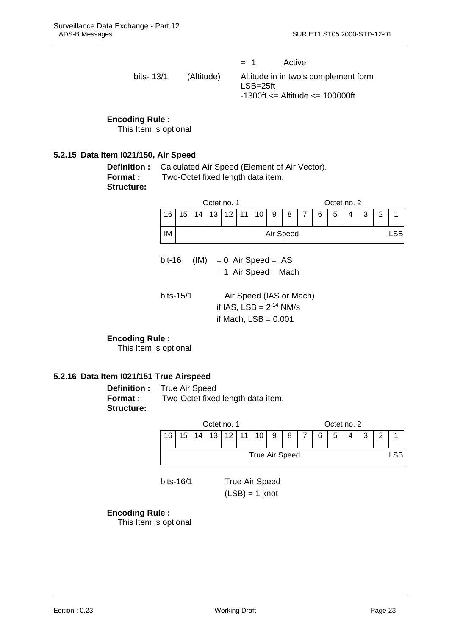<span id="page-28-0"></span> = 1 Active bits- 13/1 (Altitude) Altitude in in two's complement form LSB=25ft -1300ft <= Altitude <= 100000ft

#### **Encoding Rule :**

This Item is optional

#### **5.2.15 Data Item I021/150, Air Speed**

**Definition :** Calculated Air Speed (Element of Air Vector). **Format :** Two-Octet fixed length data item.

**Structure:** 



bit-16  $(IM) = 0$  Air Speed = IAS  $= 1$  Air Speed = Mach bits-15/1 Air Speed (IAS or Mach) if IAS,  $LSB = 2^{-14}$  NM/s if Mach,  $LSB = 0.001$ 

**Encoding Rule :**

This Item is optional

### **5.2.16 Data Item I021/151 True Airspeed**

**Structure:** 

**Definition : True Air Speed Format :** Two-Octet fixed length data item.



bits-16/1 True Air Speed  $(LSB) = 1$  knot

#### **Encoding Rule :**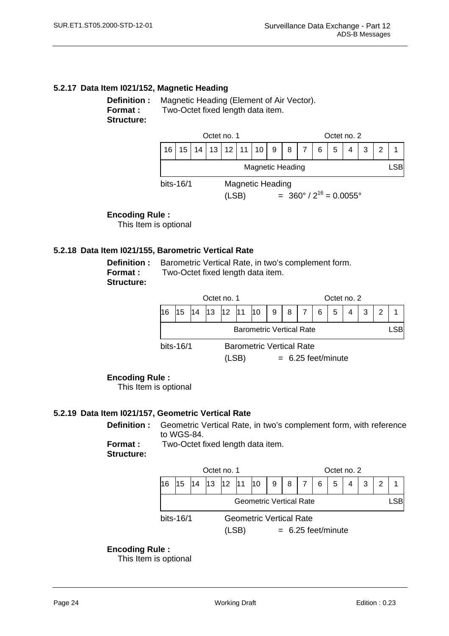### <span id="page-29-0"></span>**5.2.17 Data Item I021/152, Magnetic Heading**

**Definition :** Magnetic Heading (Element of Air Vector). **Format :** Two-Octet fixed length data item. **Structure:** 



#### **Encoding Rule :**

This Item is optional

#### **5.2.18 Data Item I021/155, Barometric Vertical Rate**

**Structure:** 

**Definition :** Barometric Vertical Rate, in two's complement form. **Format :** Two-Octet fixed length data item.

|                               |                                                 |    | Octet no. 1 |  |  |  |  |  |  |     |   | Octet no. 2 |  |     |
|-------------------------------|-------------------------------------------------|----|-------------|--|--|--|--|--|--|-----|---|-------------|--|-----|
|                               | 15                                              | 14 |             |  |  |  |  |  |  | - 6 | 5 |             |  |     |
|                               | <b>Barometric Vertical Rate</b>                 |    |             |  |  |  |  |  |  |     |   |             |  | -SB |
|                               | bits- $16/1$<br><b>Barometric Vertical Rate</b> |    |             |  |  |  |  |  |  |     |   |             |  |     |
| $= 6.25$ feet/minute<br>(LSB) |                                                 |    |             |  |  |  |  |  |  |     |   |             |  |     |

#### **Encoding Rule :**

This Item is optional

#### **5.2.19 Data Item I021/157, Geometric Vertical Rate**

**Definition :** Geometric Vertical Rate, in two's complement form, with reference to WGS-84.

**Format :** Two-Octet fixed length data item. **Structure:** 



#### **Encoding Rule :**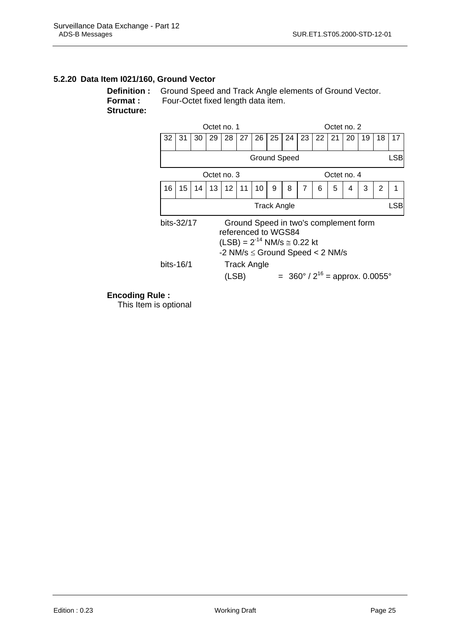#### <span id="page-30-0"></span>**5.2.20 Data Item I021/160, Ground Vector**

**Definition :** Ground Speed and Track Angle elements of Ground Vector. **Format :** Four-Octet fixed length data item. **Structure:** 



#### **Encoding Rule :**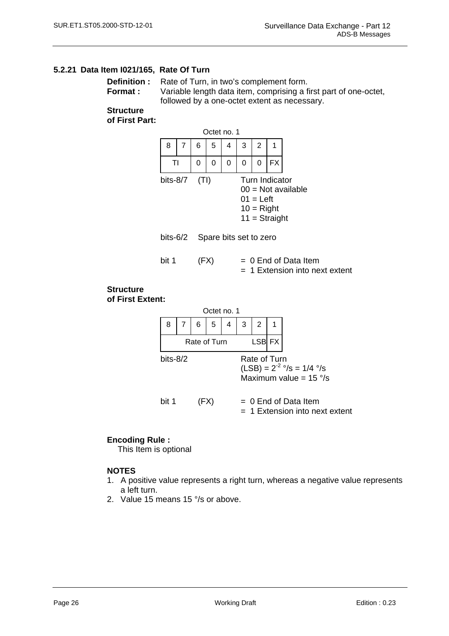#### <span id="page-31-0"></span>**5.2.21 Data Item I021/165, Rate Of Turn**

**Definition :** Rate of Turn, in two's complement form. **Format :** Variable length data item, comprising a first part of one-octet, followed by a one-octet extent as necessary.

#### **Structure**

**of First Part:**



#### **Encoding Rule :**

This Item is optional

#### **NOTES**

- 1. A positive value represents a right turn, whereas a negative value represents a left turn.
- 2. Value 15 means 15 °/s or above.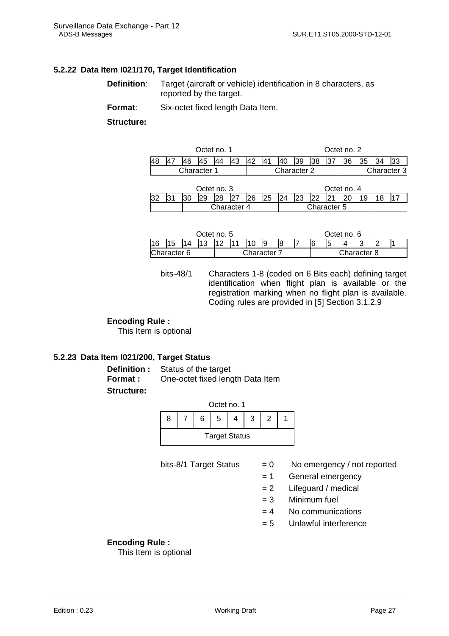#### <span id="page-32-0"></span>**5.2.22 Data Item I021/170, Target Identification**

**Definition:** Target (aircraft or vehicle) identification in 8 characters, as reported by the target.

**Format:** Six-octet fixed length Data Item.

**Structure:**

|  |                    | Octet no. 1 |  |                                   |     |  |    | Octet no. 2 |  |     |  |  |
|--|--------------------|-------------|--|-----------------------------------|-----|--|----|-------------|--|-----|--|--|
|  |                    |             |  |                                   | 140 |  | 38 | 137         |  | 135 |  |  |
|  | <b>Character 1</b> |             |  | Character 3<br><b>Character 2</b> |     |  |    |             |  |     |  |  |
|  |                    | Octet no. 3 |  |                                   |     |  |    | Octet no. 4 |  |     |  |  |

|    | - - - - - - - - - - |  |             |  |  |    |    |    |             | - - - - - - - - - |      |  |  |  |  |  |  |
|----|---------------------|--|-------------|--|--|----|----|----|-------------|-------------------|------|--|--|--|--|--|--|
| ື້ |                     |  |             |  |  | 26 | 25 | 24 | 23          | 22                | ∤ ∩י |  |  |  |  |  |  |
|    |                     |  | Character 4 |  |  |    |    |    | Character 5 |                   |      |  |  |  |  |  |  |
|    |                     |  |             |  |  |    |    |    |             |                   |      |  |  |  |  |  |  |

|             |  |  | Octet no. 5 |  |  |             |  |   |  |   |             | Octet no. 6 |  |  |  |
|-------------|--|--|-------------|--|--|-------------|--|---|--|---|-------------|-------------|--|--|--|
| 16          |  |  |             |  |  |             |  | 8 |  | 6 | 5           |             |  |  |  |
| Character 6 |  |  |             |  |  | Character 7 |  |   |  |   | Character 8 |             |  |  |  |

bits-48/1 Characters 1-8 (coded on 6 Bits each) defining target identification when flight plan is available or the registration marking when no flight plan is available. Coding rules are provided in [5] Section 3.1.2.9

#### **Encoding Rule :**

This Item is optional

#### **5.2.23 Data Item I021/200, Target Status**

**Definition :** Status of the target **Format :** One-octet fixed length Data Item **Structure:**

|   | Octet no. 1          |    |   |  |  |  |  |  |  |
|---|----------------------|----|---|--|--|--|--|--|--|
| 8 |                      | 6. | 5 |  |  |  |  |  |  |
|   | <b>Target Status</b> |    |   |  |  |  |  |  |  |

- bits-8/1 Target Status  $= 0$  No emergency / not reported
	- = 1 General emergency
	- $= 2$  Lifeguard / medical
	- $= 3$  Minimum fuel
	- $= 4$  No communications
	- $= 5$  Unlawful interference

#### **Encoding Rule :**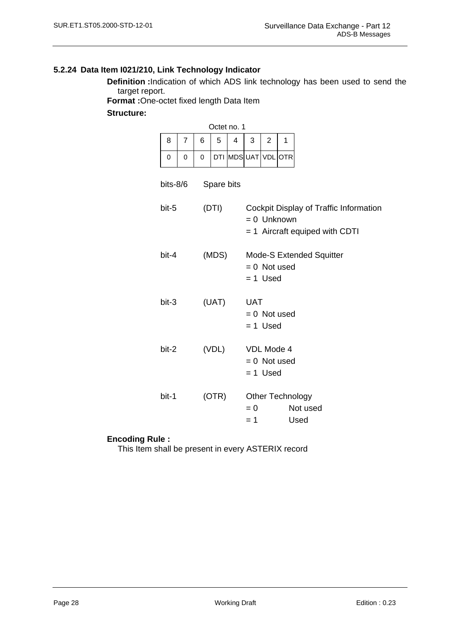# <span id="page-33-0"></span>**5.2.24 Data Item I021/210, Link Technology Indicator**

**Definition :**Indication of which ADS link technology has been used to send the target report.

**Format :**One-octet fixed length Data Item

#### **Structure:**

|                |          |       |                                            | Octet no. 1       |                                                                                           |                |   |  |  |  |  |
|----------------|----------|-------|--------------------------------------------|-------------------|-------------------------------------------------------------------------------------------|----------------|---|--|--|--|--|
| 8              | 7        | 6     | 5                                          | 4                 | 3                                                                                         | $\overline{2}$ | 1 |  |  |  |  |
| 0              | $\Omega$ | 0     |                                            | DTI MDSUAT VDLOTR |                                                                                           |                |   |  |  |  |  |
| bits-8/6       |          |       | Spare bits                                 |                   |                                                                                           |                |   |  |  |  |  |
| bit-5          |          |       | (DTI)                                      |                   | Cockpit Display of Traffic Information<br>$= 0$ Unknown<br>= 1 Aircraft equiped with CDTI |                |   |  |  |  |  |
| bit-4          |          | (MDS) |                                            |                   | <b>Mode-S Extended Squitter</b><br>$= 0$ Not used<br>$= 1$ Used                           |                |   |  |  |  |  |
| (UAT)<br>bit-3 |          |       | <b>UAT</b><br>$= 0$ Not used<br>$= 1$ Used |                   |                                                                                           |                |   |  |  |  |  |
| (VDL)<br>bit-2 |          |       | VDL Mode 4<br>$= 0$ Not used<br>$= 1$ Used |                   |                                                                                           |                |   |  |  |  |  |
| bit-1          |          |       | (OTR)                                      |                   | <b>Other Technology</b><br>Not used<br>$= 0$<br>Used<br>$=1$                              |                |   |  |  |  |  |

#### **Encoding Rule :**

This Item shall be present in every ASTERIX record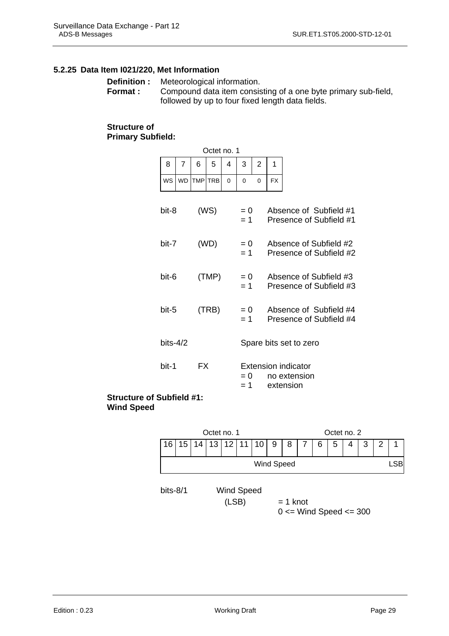#### <span id="page-34-0"></span>**5.2.25 Data Item I021/220, Met Information**

|          | <b>Definition:</b> Meteorological information.                 |
|----------|----------------------------------------------------------------|
| Format : | Compound data item consisting of a one byte primary sub-field, |
|          | followed by up to four fixed length data fields.               |

Octet no. 1

#### **Structure of Primary Subfield:**

| 8        | 7              | 6          | 5          | 4              | 3     | 2 | 1                                                 |                        |  |  |  |  |
|----------|----------------|------------|------------|----------------|-------|---|---------------------------------------------------|------------------------|--|--|--|--|
| WS       | <b>WD</b>      | <b>TMP</b> | <b>TRB</b> | 0              | 0     | 0 | <b>FX</b>                                         |                        |  |  |  |  |
|          |                |            |            |                |       |   |                                                   |                        |  |  |  |  |
| bit-8    |                |            | (WS)       |                | $= 0$ |   | Absence of Subfield #1                            |                        |  |  |  |  |
|          |                |            |            |                | $= 1$ |   | Presence of Subfield #1                           |                        |  |  |  |  |
| bit-7    |                |            | (WD)       |                | $= 0$ |   |                                                   | Absence of Subfield #2 |  |  |  |  |
|          |                |            |            |                | $= 1$ |   | Presence of Subfield #2                           |                        |  |  |  |  |
|          |                |            |            |                |       |   |                                                   |                        |  |  |  |  |
|          | (TMP)<br>bit-6 |            |            | $= 0$<br>$= 1$ |       |   | Absence of Subfield #3<br>Presence of Subfield #3 |                        |  |  |  |  |
|          |                |            |            |                |       |   |                                                   |                        |  |  |  |  |
| bit-5    |                |            | (TRB)      |                | $= 0$ |   | Absence of Subfield #4                            |                        |  |  |  |  |
|          |                |            |            |                | $= 1$ |   | Presence of Subfield #4                           |                        |  |  |  |  |
| bits-4/2 |                |            |            |                |       |   |                                                   |                        |  |  |  |  |
|          |                |            |            |                |       |   | Spare bits set to zero                            |                        |  |  |  |  |
| bit-1    |                | FX         |            |                |       |   | <b>Extension indicator</b>                        |                        |  |  |  |  |
|          |                |            |            |                | $= 0$ |   | no extension                                      |                        |  |  |  |  |
|          |                |            |            |                | = 1   |   | extension                                         |                        |  |  |  |  |

#### **Structure of Subfield #1: Wind Speed**

|            |    |    | Octet no. 1 |                     |    |    | Octet no. 2 |            |  |   |   |   |   |   |  |
|------------|----|----|-------------|---------------------|----|----|-------------|------------|--|---|---|---|---|---|--|
| 16         | 15 | 14 | 13          | 12                  | 11 | 10 | 9           | 8          |  | 6 | 5 | 4 | 3 | 2 |  |
| Wind Speed |    |    |             |                     |    |    |             | <b>LSB</b> |  |   |   |   |   |   |  |
| bits-8/1   |    |    |             | Wind Speed<br>(LSB) |    |    |             | $= 1$ knot |  |   |   |   |   |   |  |

 $0 \le$  Wind Speed  $\le$  300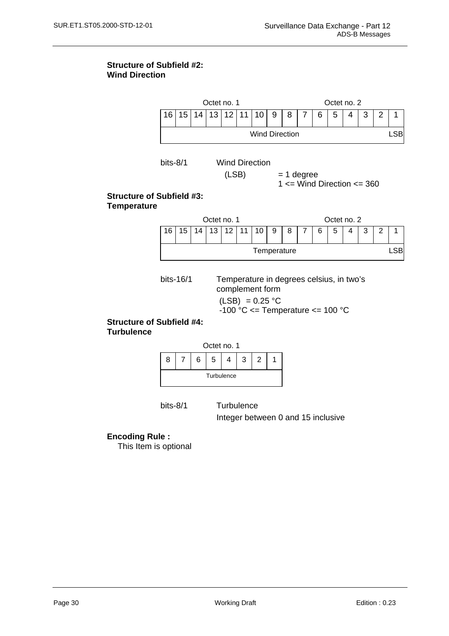#### **Structure of Subfield #2: Wind Direction**





bits-8/1 Turbulence

Integer between 0 and 15 inclusive

### **Encoding Rule :**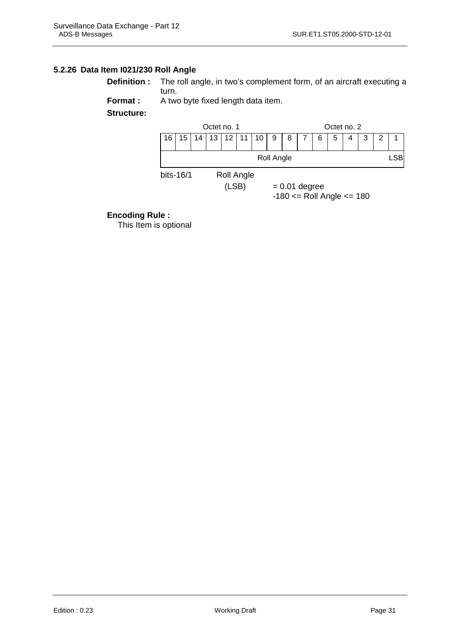### <span id="page-36-0"></span>**5.2.26 Data Item I021/230 Roll Angle**

| <b>Definition</b> : The roll angle, in two's complement form, of an aircraft executing a |
|------------------------------------------------------------------------------------------|
| turn.                                                                                    |

**Format :** A two byte fixed length data item.

**Structure:** 



#### **Encoding Rule :**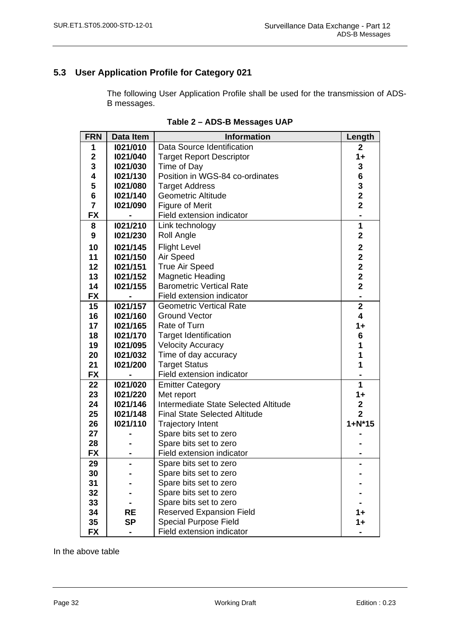# <span id="page-37-0"></span>**5.3 User Application Profile for Category 021**

The following User Application Profile shall be used for the transmission of ADS-B messages.

| <b>FRN</b>              | Data Item | <b>Information</b>                   | Length                  |
|-------------------------|-----------|--------------------------------------|-------------------------|
| 1                       | 1021/010  | Data Source Identification           | $\mathbf{2}$            |
| $\overline{\mathbf{2}}$ | 1021/040  | <b>Target Report Descriptor</b>      | $1+$                    |
| 3                       | 1021/030  | Time of Day                          | $\mathbf 3$             |
| 4                       | 1021/130  | Position in WGS-84 co-ordinates      | $6\phantom{1}6$         |
| 5                       | 1021/080  | <b>Target Address</b>                | $\frac{3}{2}$           |
| 6                       | 1021/140  | <b>Geometric Altitude</b>            |                         |
| $\overline{7}$          | 1021/090  | <b>Figure of Merit</b>               | $\overline{\mathbf{2}}$ |
| <b>FX</b>               |           | Field extension indicator            |                         |
| 8                       | 1021/210  | Link technology                      | 1                       |
| $\boldsymbol{9}$        | 1021/230  | Roll Angle                           | $\overline{2}$          |
| 10                      | 1021/145  | <b>Flight Level</b>                  | $\mathbf{2}$            |
| 11                      | 1021/150  | Air Speed                            | $\overline{2}$          |
| 12                      | 1021/151  | <b>True Air Speed</b>                | $\overline{\mathbf{2}}$ |
| 13                      | 1021/152  | <b>Magnetic Heading</b>              | $\overline{2}$          |
| 14                      | 1021/155  | <b>Barometric Vertical Rate</b>      | $\overline{2}$          |
| <b>FX</b>               |           | Field extension indicator            |                         |
| 15                      | 1021/157  | <b>Geometric Vertical Rate</b>       | $\overline{2}$          |
| 16                      | 1021/160  | <b>Ground Vector</b>                 | $\overline{\mathbf{4}}$ |
| 17                      | 1021/165  | Rate of Turn                         | $1+$                    |
| 18                      | 1021/170  | <b>Target Identification</b>         | 6                       |
| 19                      | 1021/095  | <b>Velocity Accuracy</b>             | 1                       |
| 20                      | 1021/032  | Time of day accuracy                 | 1                       |
| 21                      | 1021/200  | <b>Target Status</b>                 | 1                       |
| <b>FX</b>               |           | Field extension indicator            |                         |
| 22                      | 1021/020  | <b>Emitter Category</b>              | 1                       |
| 23                      | 1021/220  | Met report                           | 1+                      |
| 24                      | 1021/146  | Intermediate State Selected Altitude | $\mathbf{2}$            |
| 25                      | 1021/148  | <b>Final State Selected Altitude</b> | $\overline{2}$          |
| 26                      | 1021/110  | <b>Trajectory Intent</b>             | $1 + N*15$              |
| 27                      |           | Spare bits set to zero               |                         |
| 28                      |           | Spare bits set to zero               |                         |
| <b>FX</b>               |           | Field extension indicator            |                         |
| 29                      |           | Spare bits set to zero               |                         |
| 30                      |           | Spare bits set to zero               |                         |
| 31                      |           | Spare bits set to zero               |                         |
| 32                      |           | Spare bits set to zero               |                         |
| 33                      |           | Spare bits set to zero               |                         |
| 34                      | RE        | <b>Reserved Expansion Field</b>      |                         |
| 35                      | <b>SP</b> | <b>Special Purpose Field</b>         | 1+                      |
| <b>FX</b>               |           | Field extension indicator            |                         |

| Table 2 - ADS-B Messages UAP |  |
|------------------------------|--|
|------------------------------|--|

In the above table